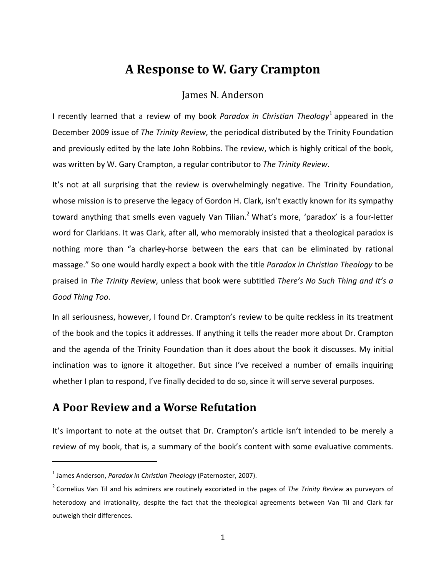# **A Response to W. Gary Crampton**

#### James N. Anderson

I recently learned that a review of my book *Paradox in Christian Theology*<sup>1</sup> appeared in the December 2009 issue of *The Trinity Review*, the periodical distributed by the Trinity Foundation and previously edited by the late John Robbins. The review, which is highly critical of the book, was written by W. Gary Crampton, a regular contributor to *The Trinity Review*.

It's not at all surprising that the review is overwhelmingly negative. The Trinity Foundation, whose mission is to preserve the legacy of Gordon H. Clark, isn't exactly known for its sympathy toward anything that smells even vaguely Van Tilian.<sup>2</sup> What's more, 'paradox' is a four-letter word for Clarkians. It was Clark, after all, who memorably insisted that a theological paradox is nothing more than "a charley-horse between the ears that can be eliminated by rational massage." So one would hardly expect a book with the title *Paradox in Christian Theology* to be praised in *The Trinity Review*, unless that book were subtitled *There's No Such Thing and It's a Good Thing Too*.

In all seriousness, however, I found Dr. Crampton's review to be quite reckless in its treatment of the book and the topics it addresses. If anything it tells the reader more about Dr. Crampton and the agenda of the Trinity Foundation than it does about the book it discusses. My initial inclination was to ignore it altogether. But since I've received a number of emails inquiring whether I plan to respond, I've finally decided to do so, since it will serve several purposes.

### **A Poor Review and a Worse Refutation**

It's important to note at the outset that Dr. Crampton's article isn't intended to be merely a review of my book, that is, a summary of the book's content with some evaluative comments.

l

<sup>1</sup> James Anderson, *Paradox in Christian Theology* (Paternoster, 2007).

<sup>2</sup> Cornelius Van Til and his admirers are routinely excoriated in the pages of *The Trinity Review* as purveyors of heterodoxy and irrationality, despite the fact that the theological agreements between Van Til and Clark far outweigh their differences.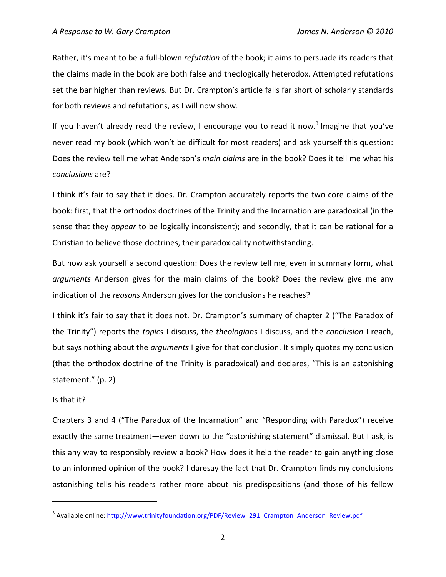Rather, it's meant to be a full-blown *refutation* of the book; it aims to persuade its readers that the claims made in the book are both false and theologically heterodox. Attempted refutations set the bar higher than reviews. But Dr. Crampton's article falls far short of scholarly standards for both reviews and refutations, as I will now show.

If you haven't already read the review, I encourage you to read it now.<sup>3</sup> Imagine that you've never read my book (which won't be difficult for most readers) and ask yourself this question: Does the review tell me what Anderson's *main claims* are in the book? Does it tell me what his *conclusions* are?

I think it's fair to say that it does. Dr. Crampton accurately reports the two core claims of the book: first, that the orthodox doctrines of the Trinity and the Incarnation are paradoxical (in the sense that they *appear* to be logically inconsistent); and secondly, that it can be rational for a Christian to believe those doctrines, their paradoxicality notwithstanding.

But now ask yourself a second question: Does the review tell me, even in summary form, what *arguments* Anderson gives for the main claims of the book? Does the review give me any indication of the *reasons* Anderson gives for the conclusions he reaches?

I think it's fair to say that it does not. Dr. Crampton's summary of chapter 2 ("The Paradox of the Trinity") reports the *topics* I discuss, the *theologians* I discuss, and the *conclusion* I reach, but says nothing about the *arguments* I give for that conclusion. It simply quotes my conclusion (that the orthodox doctrine of the Trinity is paradoxical) and declares, "This is an astonishing statement." (p. 2)

#### Is that it?

 $\overline{a}$ 

Chapters 3 and 4 ("The Paradox of the Incarnation" and "Responding with Paradox") receive exactly the same treatment—even down to the "astonishing statement" dismissal. But I ask, is this any way to responsibly review a book? How does it help the reader to gain anything close to an informed opinion of the book? I daresay the fact that Dr. Crampton finds my conclusions astonishing tells his readers rather more about his predispositions (and those of his fellow

<sup>&</sup>lt;sup>3</sup> Available online: http://www.trinityfoundation.org/PDF/Review\_291\_Crampton\_Anderson\_Review.pdf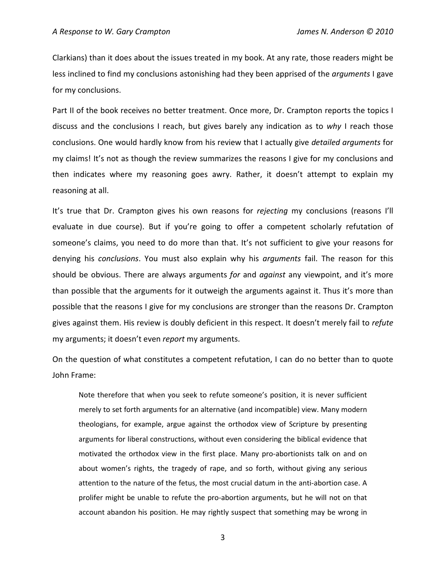Clarkians) than it does about the issues treated in my book. At any rate, those readers might be less inclined to find my conclusions astonishing had they been apprised of the *arguments* I gave for my conclusions.

Part II of the book receives no better treatment. Once more, Dr. Crampton reports the topics I discuss and the conclusions I reach, but gives barely any indication as to *why* I reach those conclusions. One would hardly know from his review that I actually give *detailed arguments* for my claims! It's not as though the review summarizes the reasons I give for my conclusions and then indicates where my reasoning goes awry. Rather, it doesn't attempt to explain my reasoning at all.

It's true that Dr. Crampton gives his own reasons for *rejecting* my conclusions (reasons I'll evaluate in due course). But if you're going to offer a competent scholarly refutation of someone's claims, you need to do more than that. It's not sufficient to give your reasons for denying his *conclusions*. You must also explain why his *arguments* fail. The reason for this should be obvious. There are always arguments *for* and *against* any viewpoint, and it's more than possible that the arguments for it outweigh the arguments against it. Thus it's more than possible that the reasons I give for my conclusions are stronger than the reasons Dr. Crampton gives against them. His review is doubly deficient in this respect. It doesn't merely fail to *refute* my arguments; it doesn't even *report* my arguments.

On the question of what constitutes a competent refutation, I can do no better than to quote John Frame:

Note therefore that when you seek to refute someone's position, it is never sufficient merely to set forth arguments for an alternative (and incompatible) view. Many modern theologians, for example, argue against the orthodox view of Scripture by presenting arguments for liberal constructions, without even considering the biblical evidence that motivated the orthodox view in the first place. Many pro-abortionists talk on and on about women's rights, the tragedy of rape, and so forth, without giving any serious attention to the nature of the fetus, the most crucial datum in the anti-abortion case. A prolifer might be unable to refute the pro-abortion arguments, but he will not on that account abandon his position. He may rightly suspect that something may be wrong in

3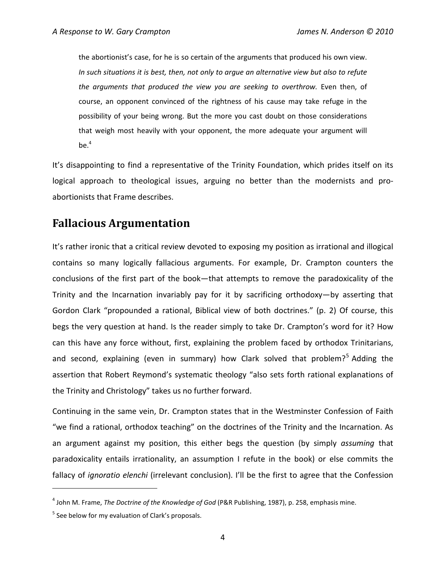the abortionist's case, for he is so certain of the arguments that produced his own view. *In such situations it is best, then, not only to argue an alternative view but also to refute the arguments that produced the view you are seeking to overthrow.* Even then, of course, an opponent convinced of the rightness of his cause may take refuge in the possibility of your being wrong. But the more you cast doubt on those considerations that weigh most heavily with your opponent, the more adequate your argument will  $be.<sup>4</sup>$ 

It's disappointing to find a representative of the Trinity Foundation, which prides itself on its logical approach to theological issues, arguing no better than the modernists and proabortionists that Frame describes.

## **Fallacious Argumentation**

It's rather ironic that a critical review devoted to exposing my position as irrational and illogical contains so many logically fallacious arguments. For example, Dr. Crampton counters the conclusions of the first part of the book—that attempts to remove the paradoxicality of the Trinity and the Incarnation invariably pay for it by sacrificing orthodoxy—by asserting that Gordon Clark "propounded a rational, Biblical view of both doctrines." (p. 2) Of course, this begs the very question at hand. Is the reader simply to take Dr. Crampton's word for it? How can this have any force without, first, explaining the problem faced by orthodox Trinitarians, and second, explaining (even in summary) how Clark solved that problem?<sup>5</sup> Adding the assertion that Robert Reymond's systematic theology "also sets forth rational explanations of the Trinity and Christology" takes us no further forward.

Continuing in the same vein, Dr. Crampton states that in the Westminster Confession of Faith "we find a rational, orthodox teaching" on the doctrines of the Trinity and the Incarnation. As an argument against my position, this either begs the question (by simply *assuming* that paradoxicality entails irrationality, an assumption I refute in the book) or else commits the fallacy of *ignoratio elenchi* (irrelevant conclusion). I'll be the first to agree that the Confession

l

<sup>4</sup> John M. Frame, *The Doctrine of the Knowledge of God* (P&R Publishing, 1987), p. 258, emphasis mine.

<sup>&</sup>lt;sup>5</sup> See below for my evaluation of Clark's proposals.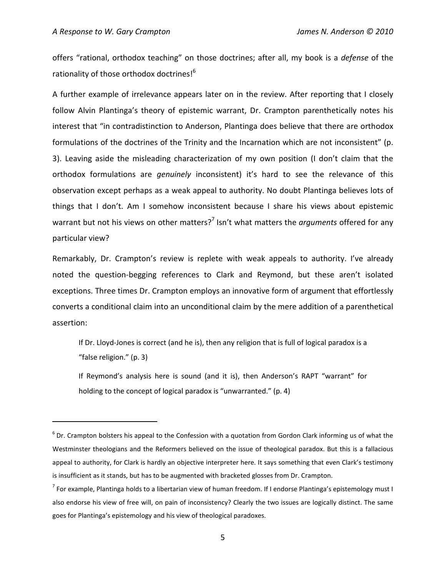l

offers "rational, orthodox teaching" on those doctrines; after all, my book is a *defense* of the rationality of those orthodox doctrines!<sup>6</sup>

A further example of irrelevance appears later on in the review. After reporting that I closely follow Alvin Plantinga's theory of epistemic warrant, Dr. Crampton parenthetically notes his interest that "in contradistinction to Anderson, Plantinga does believe that there are orthodox formulations of the doctrines of the Trinity and the Incarnation which are not inconsistent" (p. 3). Leaving aside the misleading characterization of my own position (I don't claim that the orthodox formulations are *genuinely* inconsistent) it's hard to see the relevance of this observation except perhaps as a weak appeal to authority. No doubt Plantinga believes lots of things that I don't. Am I somehow inconsistent because I share his views about epistemic warrant but not his views on other matters?<sup>7</sup> Isn't what matters the *arguments* offered for any particular view?

Remarkably, Dr. Crampton's review is replete with weak appeals to authority. I've already noted the question-begging references to Clark and Reymond, but these aren't isolated exceptions. Three times Dr. Crampton employs an innovative form of argument that effortlessly converts a conditional claim into an unconditional claim by the mere addition of a parenthetical assertion:

If Dr. Lloyd-Jones is correct (and he is), then any religion that is full of logical paradox is a "false religion." (p. 3)

If Reymond's analysis here is sound (and it is), then Anderson's RAPT "warrant" for holding to the concept of logical paradox is "unwarranted." (p. 4)

 $^6$  Dr. Crampton bolsters his appeal to the Confession with a quotation from Gordon Clark informing us of what the Westminster theologians and the Reformers believed on the issue of theological paradox. But this is a fallacious appeal to authority, for Clark is hardly an objective interpreter here. It says something that even Clark's testimony is insufficient as it stands, but has to be augmented with bracketed glosses from Dr. Crampton.

<sup>&</sup>lt;sup>7</sup> For example, Plantinga holds to a libertarian view of human freedom. If I endorse Plantinga's epistemology must I also endorse his view of free will, on pain of inconsistency? Clearly the two issues are logically distinct. The same goes for Plantinga's epistemology and his view of theological paradoxes.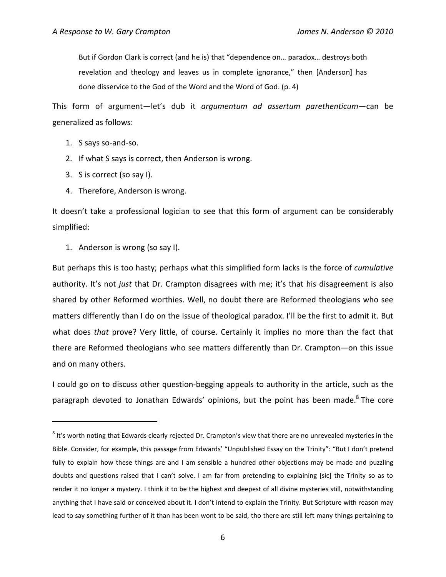But if Gordon Clark is correct (and he is) that "dependence on… paradox… destroys both revelation and theology and leaves us in complete ignorance," then [Anderson] has done disservice to the God of the Word and the Word of God. (p. 4)

This form of argument—let's dub it *argumentum ad assertum parethenticum*—can be generalized as follows:

1. S says so-and-so.

l

- 2. If what S says is correct, then Anderson is wrong.
- 3. S is correct (so say I).
- 4. Therefore, Anderson is wrong.

It doesn't take a professional logician to see that this form of argument can be considerably simplified:

1. Anderson is wrong (so say I).

But perhaps this is too hasty; perhaps what this simplified form lacks is the force of *cumulative* authority. It's not *just* that Dr. Crampton disagrees with me; it's that his disagreement is also shared by other Reformed worthies. Well, no doubt there are Reformed theologians who see matters differently than I do on the issue of theological paradox. I'll be the first to admit it. But what does *that* prove? Very little, of course. Certainly it implies no more than the fact that there are Reformed theologians who see matters differently than Dr. Crampton—on this issue and on many others.

I could go on to discuss other question-begging appeals to authority in the article, such as the paragraph devoted to Jonathan Edwards' opinions, but the point has been made.<sup>8</sup> The core

 $^8$  It's worth noting that Edwards clearly rejected Dr. Crampton's view that there are no unrevealed mysteries in the Bible. Consider, for example, this passage from Edwards' "Unpublished Essay on the Trinity": "But I don't pretend fully to explain how these things are and I am sensible a hundred other objections may be made and puzzling doubts and questions raised that I can't solve. I am far from pretending to explaining [sic] the Trinity so as to render it no longer a mystery. I think it to be the highest and deepest of all divine mysteries still, notwithstanding anything that I have said or conceived about it. I don't intend to explain the Trinity. But Scripture with reason may lead to say something further of it than has been wont to be said, tho there are still left many things pertaining to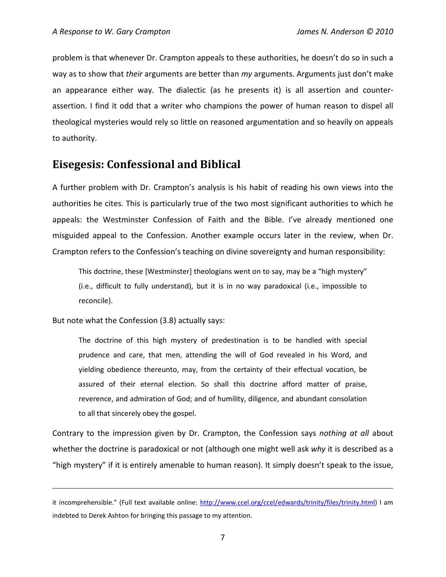problem is that whenever Dr. Crampton appeals to these authorities, he doesn't do so in such a way as to show that *their* arguments are better than *my* arguments. Arguments just don't make an appearance either way. The dialectic (as he presents it) is all assertion and counterassertion. I find it odd that a writer who champions the power of human reason to dispel all theological mysteries would rely so little on reasoned argumentation and so heavily on appeals to authority.

## **Eisegesis: Confessional and Biblical**

A further problem with Dr. Crampton's analysis is his habit of reading his own views into the authorities he cites. This is particularly true of the two most significant authorities to which he appeals: the Westminster Confession of Faith and the Bible. I've already mentioned one misguided appeal to the Confession. Another example occurs later in the review, when Dr. Crampton refers to the Confession's teaching on divine sovereignty and human responsibility:

This doctrine, these [Westminster] theologians went on to say, may be a "high mystery" (i.e., difficult to fully understand), but it is in no way paradoxical (i.e., impossible to reconcile).

But note what the Confession (3.8) actually says:

l

The doctrine of this high mystery of predestination is to be handled with special prudence and care, that men, attending the will of God revealed in his Word, and yielding obedience thereunto, may, from the certainty of their effectual vocation, be assured of their eternal election. So shall this doctrine afford matter of praise, reverence, and admiration of God; and of humility, diligence, and abundant consolation to all that sincerely obey the gospel.

Contrary to the impression given by Dr. Crampton, the Confession says *nothing at all* about whether the doctrine is paradoxical or not (although one might well ask *why* it is described as a "high mystery" if it is entirely amenable to human reason). It simply doesn't speak to the issue,

it incomprehensible." (Full text available online: http://www.ccel.org/ccel/edwards/trinity/files/trinity.html) I am indebted to Derek Ashton for bringing this passage to my attention.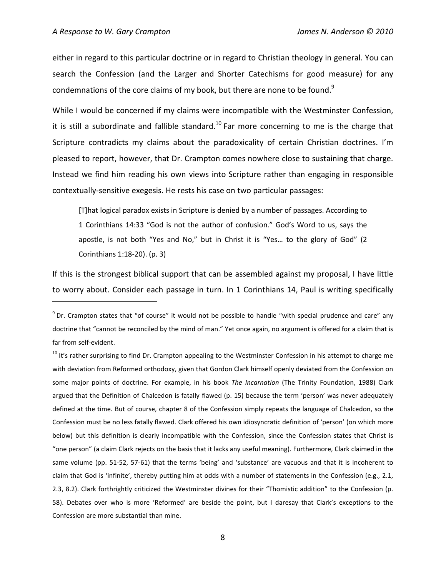l

either in regard to this particular doctrine or in regard to Christian theology in general. You can search the Confession (and the Larger and Shorter Catechisms for good measure) for any condemnations of the core claims of my book, but there are none to be found. $9$ 

While I would be concerned if my claims were incompatible with the Westminster Confession, it is still a subordinate and fallible standard.<sup>10</sup> Far more concerning to me is the charge that Scripture contradicts my claims about the paradoxicality of certain Christian doctrines. I'm pleased to report, however, that Dr. Crampton comes nowhere close to sustaining that charge. Instead we find him reading his own views into Scripture rather than engaging in responsible contextually-sensitive exegesis. He rests his case on two particular passages:

[T]hat logical paradox exists in Scripture is denied by a number of passages. According to 1 Corinthians 14:33 "God is not the author of confusion." God's Word to us, says the apostle, is not both "Yes and No," but in Christ it is "Yes… to the glory of God" (2 Corinthians 1:18-20). (p. 3)

If this is the strongest biblical support that can be assembled against my proposal, I have little to worry about. Consider each passage in turn. In 1 Corinthians 14, Paul is writing specifically

 $9$  Dr. Crampton states that "of course" it would not be possible to handle "with special prudence and care" any doctrine that "cannot be reconciled by the mind of man." Yet once again, no argument is offered for a claim that is far from self-evident.

<sup>&</sup>lt;sup>10</sup> It's rather surprising to find Dr. Crampton appealing to the Westminster Confession in his attempt to charge me with deviation from Reformed orthodoxy, given that Gordon Clark himself openly deviated from the Confession on some major points of doctrine. For example, in his book *The Incarnation* (The Trinity Foundation, 1988) Clark argued that the Definition of Chalcedon is fatally flawed (p. 15) because the term 'person' was never adequately defined at the time. But of course, chapter 8 of the Confession simply repeats the language of Chalcedon, so the Confession must be no less fatally flawed. Clark offered his own idiosyncratic definition of 'person' (on which more below) but this definition is clearly incompatible with the Confession, since the Confession states that Christ is "one person" (a claim Clark rejects on the basis that it lacks any useful meaning). Furthermore, Clark claimed in the same volume (pp. 51-52, 57-61) that the terms 'being' and 'substance' are vacuous and that it is incoherent to claim that God is 'infinite', thereby putting him at odds with a number of statements in the Confession (e.g., 2.1, 2.3, 8.2). Clark forthrightly criticized the Westminster divines for their "Thomistic addition" to the Confession (p. 58). Debates over who is more 'Reformed' are beside the point, but I daresay that Clark's exceptions to the Confession are more substantial than mine.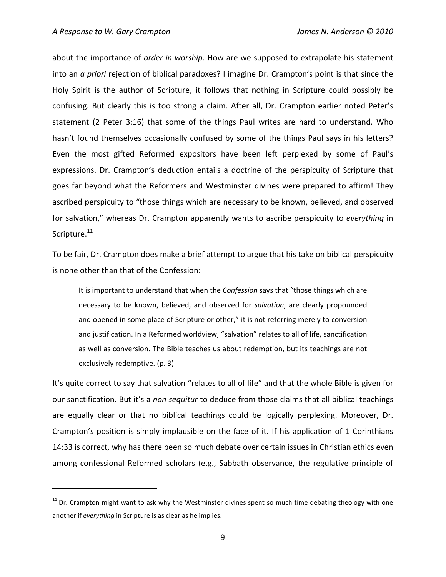l

about the importance of *order in worship*. How are we supposed to extrapolate his statement into an *a priori* rejection of biblical paradoxes? I imagine Dr. Crampton's point is that since the Holy Spirit is the author of Scripture, it follows that nothing in Scripture could possibly be confusing. But clearly this is too strong a claim. After all, Dr. Crampton earlier noted Peter's statement (2 Peter 3:16) that some of the things Paul writes are hard to understand. Who hasn't found themselves occasionally confused by some of the things Paul says in his letters? Even the most gifted Reformed expositors have been left perplexed by some of Paul's expressions. Dr. Crampton's deduction entails a doctrine of the perspicuity of Scripture that goes far beyond what the Reformers and Westminster divines were prepared to affirm! They ascribed perspicuity to "those things which are necessary to be known, believed, and observed for salvation," whereas Dr. Crampton apparently wants to ascribe perspicuity to *everything* in Scripture.<sup>11</sup>

To be fair, Dr. Crampton does make a brief attempt to argue that his take on biblical perspicuity is none other than that of the Confession:

It is important to understand that when the *Confession* says that "those things which are necessary to be known, believed, and observed for *salvation*, are clearly propounded and opened in some place of Scripture or other," it is not referring merely to conversion and justification. In a Reformed worldview, "salvation" relates to all of life, sanctification as well as conversion. The Bible teaches us about redemption, but its teachings are not exclusively redemptive. (p. 3)

It's quite correct to say that salvation "relates to all of life" and that the whole Bible is given for our sanctification. But it's a *non sequitur* to deduce from those claims that all biblical teachings are equally clear or that no biblical teachings could be logically perplexing. Moreover, Dr. Crampton's position is simply implausible on the face of it. If his application of 1 Corinthians 14:33 is correct, why has there been so much debate over certain issues in Christian ethics even among confessional Reformed scholars (e.g., Sabbath observance, the regulative principle of

 $11$  Dr. Crampton might want to ask why the Westminster divines spent so much time debating theology with one another if *everything* in Scripture is as clear as he implies.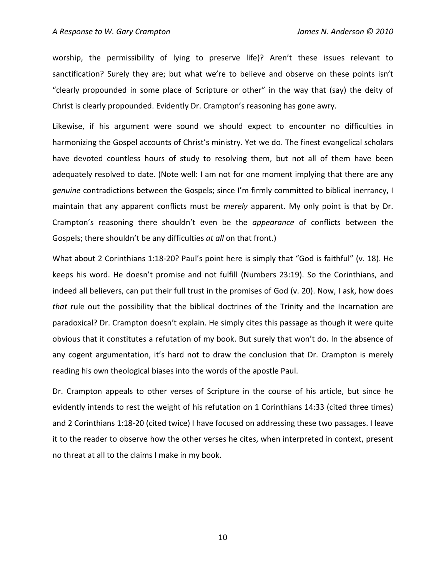worship, the permissibility of lying to preserve life)? Aren't these issues relevant to sanctification? Surely they are; but what we're to believe and observe on these points isn't "clearly propounded in some place of Scripture or other" in the way that (say) the deity of Christ is clearly propounded. Evidently Dr. Crampton's reasoning has gone awry.

Likewise, if his argument were sound we should expect to encounter no difficulties in harmonizing the Gospel accounts of Christ's ministry. Yet we do. The finest evangelical scholars have devoted countless hours of study to resolving them, but not all of them have been adequately resolved to date. (Note well: I am not for one moment implying that there are any *genuine* contradictions between the Gospels; since I'm firmly committed to biblical inerrancy, I maintain that any apparent conflicts must be *merely* apparent. My only point is that by Dr. Crampton's reasoning there shouldn't even be the *appearance* of conflicts between the Gospels; there shouldn't be any difficulties *at all* on that front.)

What about 2 Corinthians 1:18-20? Paul's point here is simply that "God is faithful" (v. 18). He keeps his word. He doesn't promise and not fulfill (Numbers 23:19). So the Corinthians, and indeed all believers, can put their full trust in the promises of God (v. 20). Now, I ask, how does *that* rule out the possibility that the biblical doctrines of the Trinity and the Incarnation are paradoxical? Dr. Crampton doesn't explain. He simply cites this passage as though it were quite obvious that it constitutes a refutation of my book. But surely that won't do. In the absence of any cogent argumentation, it's hard not to draw the conclusion that Dr. Crampton is merely reading his own theological biases into the words of the apostle Paul.

Dr. Crampton appeals to other verses of Scripture in the course of his article, but since he evidently intends to rest the weight of his refutation on 1 Corinthians 14:33 (cited three times) and 2 Corinthians 1:18-20 (cited twice) I have focused on addressing these two passages. I leave it to the reader to observe how the other verses he cites, when interpreted in context, present no threat at all to the claims I make in my book.

10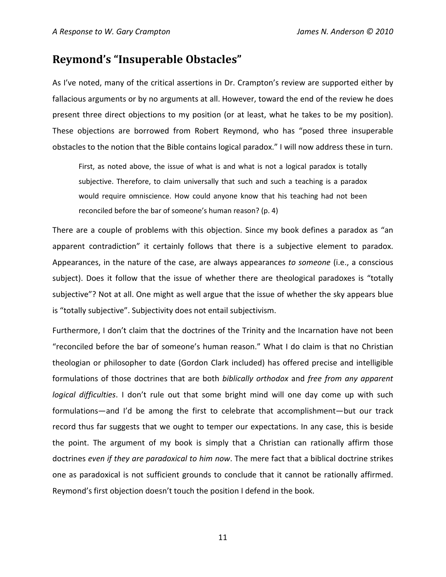#### **Reymond's "Insuperable Obstacles"**

As I've noted, many of the critical assertions in Dr. Crampton's review are supported either by fallacious arguments or by no arguments at all. However, toward the end of the review he does present three direct objections to my position (or at least, what he takes to be my position). These objections are borrowed from Robert Reymond, who has "posed three insuperable obstacles to the notion that the Bible contains logical paradox." I will now address these in turn.

First, as noted above, the issue of what is and what is not a logical paradox is totally subjective. Therefore, to claim universally that such and such a teaching is a paradox would require omniscience. How could anyone know that his teaching had not been reconciled before the bar of someone's human reason? (p. 4)

There are a couple of problems with this objection. Since my book defines a paradox as "an apparent contradiction" it certainly follows that there is a subjective element to paradox. Appearances, in the nature of the case, are always appearances *to someone* (i.e., a conscious subject). Does it follow that the issue of whether there are theological paradoxes is "totally subjective"? Not at all. One might as well argue that the issue of whether the sky appears blue is "totally subjective". Subjectivity does not entail subjectivism.

Furthermore, I don't claim that the doctrines of the Trinity and the Incarnation have not been "reconciled before the bar of someone's human reason." What I do claim is that no Christian theologian or philosopher to date (Gordon Clark included) has offered precise and intelligible formulations of those doctrines that are both *biblically orthodox* and *free from any apparent logical difficulties*. I don't rule out that some bright mind will one day come up with such formulations—and I'd be among the first to celebrate that accomplishment—but our track record thus far suggests that we ought to temper our expectations. In any case, this is beside the point. The argument of my book is simply that a Christian can rationally affirm those doctrines *even if they are paradoxical to him now*. The mere fact that a biblical doctrine strikes one as paradoxical is not sufficient grounds to conclude that it cannot be rationally affirmed. Reymond's first objection doesn't touch the position I defend in the book.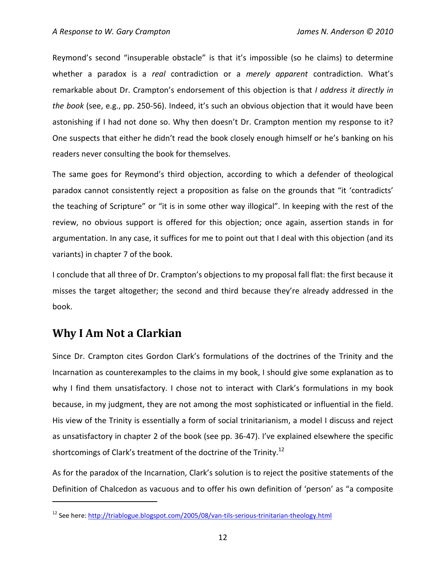Reymond's second "insuperable obstacle" is that it's impossible (so he claims) to determine whether a paradox is a *real* contradiction or a *merely apparent* contradiction. What's remarkable about Dr. Crampton's endorsement of this objection is that *I address it directly in the book* (see, e.g., pp. 250-56). Indeed, it's such an obvious objection that it would have been astonishing if I had not done so. Why then doesn't Dr. Crampton mention my response to it? One suspects that either he didn't read the book closely enough himself or he's banking on his readers never consulting the book for themselves.

The same goes for Reymond's third objection, according to which a defender of theological paradox cannot consistently reject a proposition as false on the grounds that "it 'contradicts' the teaching of Scripture" or "it is in some other way illogical". In keeping with the rest of the review, no obvious support is offered for this objection; once again, assertion stands in for argumentation. In any case, it suffices for me to point out that I deal with this objection (and its variants) in chapter 7 of the book.

I conclude that all three of Dr. Crampton's objections to my proposal fall flat: the first because it misses the target altogether; the second and third because they're already addressed in the book.

## **Why I Am Not a Clarkian**

 $\overline{a}$ 

Since Dr. Crampton cites Gordon Clark's formulations of the doctrines of the Trinity and the Incarnation as counterexamples to the claims in my book, I should give some explanation as to why I find them unsatisfactory. I chose not to interact with Clark's formulations in my book because, in my judgment, they are not among the most sophisticated or influential in the field. His view of the Trinity is essentially a form of social trinitarianism, a model I discuss and reject as unsatisfactory in chapter 2 of the book (see pp. 36-47). I've explained elsewhere the specific shortcomings of Clark's treatment of the doctrine of the Trinity.<sup>12</sup>

As for the paradox of the Incarnation, Clark's solution is to reject the positive statements of the Definition of Chalcedon as vacuous and to offer his own definition of 'person' as "a composite

<sup>&</sup>lt;sup>12</sup> See here: http://triablogue.blogspot.com/2005/08/van-tils-serious-trinitarian-theology.html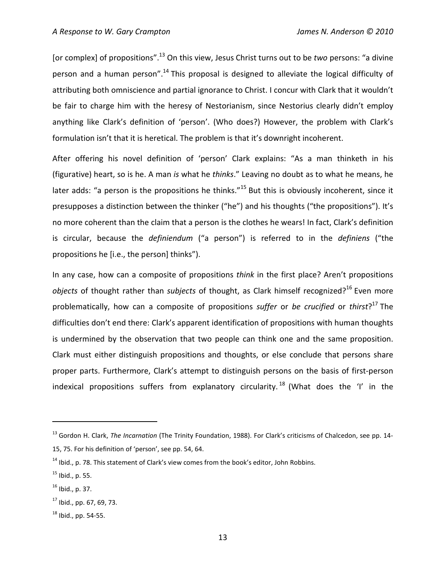[or complex] of propositions".<sup>13</sup> On this view, Jesus Christ turns out to be *two* persons: "a divine person and a human person".<sup>14</sup> This proposal is designed to alleviate the logical difficulty of attributing both omniscience and partial ignorance to Christ. I concur with Clark that it wouldn't be fair to charge him with the heresy of Nestorianism, since Nestorius clearly didn't employ anything like Clark's definition of 'person'. (Who does?) However, the problem with Clark's formulation isn't that it is heretical. The problem is that it's downright incoherent.

After offering his novel definition of 'person' Clark explains: "As a man thinketh in his (figurative) heart, so is he. A man *is* what he *thinks*." Leaving no doubt as to what he means, he later adds: "a person is the propositions he thinks."<sup>15</sup> But this is obviously incoherent, since it presupposes a distinction between the thinker ("he") and his thoughts ("the propositions"). It's no more coherent than the claim that a person is the clothes he wears! In fact, Clark's definition is circular, because the *definiendum* ("a person") is referred to in the *definiens* ("the propositions he [i.e., the person] thinks").

In any case, how can a composite of propositions *think* in the first place? Aren't propositions *objects* of thought rather than *subjects* of thought, as Clark himself recognized?<sup>16</sup> Even more problematically, how can a composite of propositions *suffer* or *be crucified* or *thirst*? <sup>17</sup> The difficulties don't end there: Clark's apparent identification of propositions with human thoughts is undermined by the observation that two people can think one and the same proposition. Clark must either distinguish propositions and thoughts, or else conclude that persons share proper parts. Furthermore, Clark's attempt to distinguish persons on the basis of first-person indexical propositions suffers from explanatory circularity.<sup>18</sup> (What does the 'I' in the

l

<sup>13</sup> Gordon H. Clark, *The Incarnation* (The Trinity Foundation, 1988). For Clark's criticisms of Chalcedon, see pp. 14- 15, 75. For his definition of 'person', see pp. 54, 64.

 $14$  Ibid., p. 78. This statement of Clark's view comes from the book's editor, John Robbins.

 $^{15}$  Ibid., p. 55.

 $^{16}$  Ibid., p. 37.

 $17$  Ibid., pp. 67, 69, 73.

 $18$  Ibid., pp. 54-55.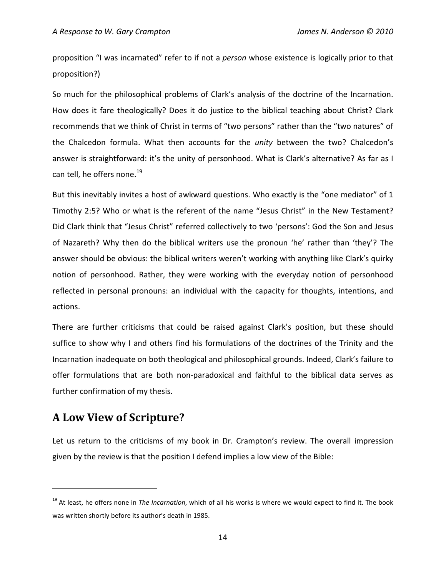proposition "I was incarnated" refer to if not a *person* whose existence is logically prior to that proposition?)

So much for the philosophical problems of Clark's analysis of the doctrine of the Incarnation. How does it fare theologically? Does it do justice to the biblical teaching about Christ? Clark recommends that we think of Christ in terms of "two persons" rather than the "two natures" of the Chalcedon formula. What then accounts for the *unity* between the two? Chalcedon's answer is straightforward: it's the unity of personhood. What is Clark's alternative? As far as I can tell, he offers none. $^{19}$ 

But this inevitably invites a host of awkward questions. Who exactly is the "one mediator" of 1 Timothy 2:5? Who or what is the referent of the name "Jesus Christ" in the New Testament? Did Clark think that "Jesus Christ" referred collectively to two 'persons': God the Son and Jesus of Nazareth? Why then do the biblical writers use the pronoun 'he' rather than 'they'? The answer should be obvious: the biblical writers weren't working with anything like Clark's quirky notion of personhood. Rather, they were working with the everyday notion of personhood reflected in personal pronouns: an individual with the capacity for thoughts, intentions, and actions.

There are further criticisms that could be raised against Clark's position, but these should suffice to show why I and others find his formulations of the doctrines of the Trinity and the Incarnation inadequate on both theological and philosophical grounds. Indeed, Clark's failure to offer formulations that are both non-paradoxical and faithful to the biblical data serves as further confirmation of my thesis.

## **A Low View of Scripture?**

l

Let us return to the criticisms of my book in Dr. Crampton's review. The overall impression given by the review is that the position I defend implies a low view of the Bible:

<sup>&</sup>lt;sup>19</sup> At least, he offers none in *The Incarnation*, which of all his works is where we would expect to find it. The book was written shortly before its author's death in 1985.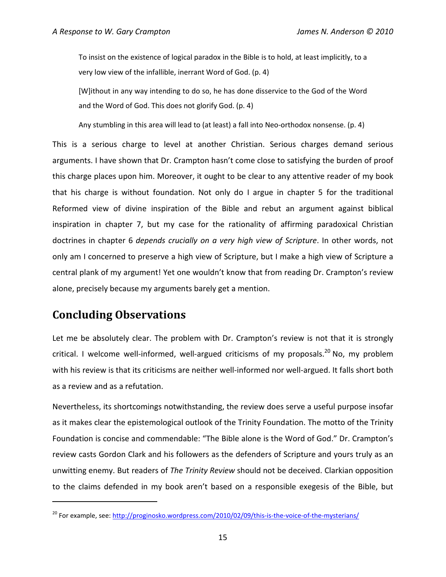To insist on the existence of logical paradox in the Bible is to hold, at least implicitly, to a very low view of the infallible, inerrant Word of God. (p. 4)

[W]ithout in any way intending to do so, he has done disservice to the God of the Word and the Word of God. This does not glorify God. (p. 4)

Any stumbling in this area will lead to (at least) a fall into Neo-orthodox nonsense. (p. 4)

This is a serious charge to level at another Christian. Serious charges demand serious arguments. I have shown that Dr. Crampton hasn't come close to satisfying the burden of proof this charge places upon him. Moreover, it ought to be clear to any attentive reader of my book that his charge is without foundation. Not only do I argue in chapter 5 for the traditional Reformed view of divine inspiration of the Bible and rebut an argument against biblical inspiration in chapter 7, but my case for the rationality of affirming paradoxical Christian doctrines in chapter 6 *depends crucially on a very high view of Scripture*. In other words, not only am I concerned to preserve a high view of Scripture, but I make a high view of Scripture a central plank of my argument! Yet one wouldn't know that from reading Dr. Crampton's review alone, precisely because my arguments barely get a mention.

## **Concluding Observations**

 $\overline{a}$ 

Let me be absolutely clear. The problem with Dr. Crampton's review is not that it is strongly critical. I welcome well-informed, well-argued criticisms of my proposals. $^{20}$  No, my problem with his review is that its criticisms are neither well-informed nor well-argued. It falls short both as a review and as a refutation.

Nevertheless, its shortcomings notwithstanding, the review does serve a useful purpose insofar as it makes clear the epistemological outlook of the Trinity Foundation. The motto of the Trinity Foundation is concise and commendable: "The Bible alone is the Word of God." Dr. Crampton's review casts Gordon Clark and his followers as the defenders of Scripture and yours truly as an unwitting enemy. But readers of *The Trinity Review* should not be deceived. Clarkian opposition to the claims defended in my book aren't based on a responsible exegesis of the Bible, but

<sup>&</sup>lt;sup>20</sup> For example, see: http://proginosko.wordpress.com/2010/02/09/this-is-the-voice-of-the-mysterians/